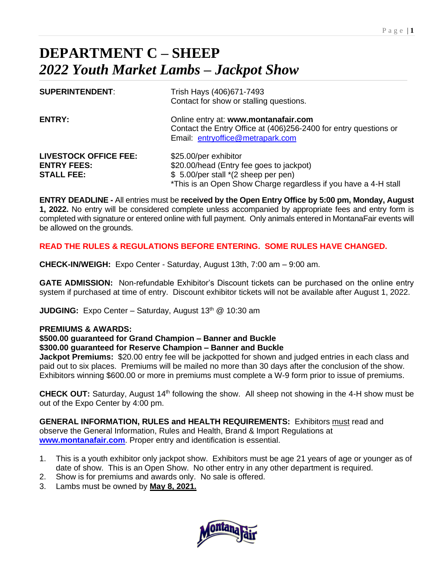# **DEPARTMENT C – SHEEP** *2022 Youth Market Lambs – Jackpot Show*

| <b>SUPERINTENDENT:</b>                                                  | Trish Hays (406)671-7493<br>Contact for show or stalling questions.                                                                                                          |
|-------------------------------------------------------------------------|------------------------------------------------------------------------------------------------------------------------------------------------------------------------------|
| <b>ENTRY:</b>                                                           | Online entry at: www.montanafair.com<br>Contact the Entry Office at (406)256-2400 for entry questions or<br>Email entryoffice@metrapark.com                                  |
| <b>LIVESTOCK OFFICE FEE:</b><br><b>ENTRY FEES:</b><br><b>STALL FEE:</b> | \$25.00/per exhibitor<br>\$20.00/head (Entry fee goes to jackpot)<br>\$ 5.00/per stall *(2 sheep per pen)<br>*This is an Open Show Charge regardless if you have a 4-H stall |

**ENTRY DEADLINE -** All entries must be **received by the Open Entry Office by 5:00 pm, Monday, August 1, 2022.** No entry will be considered complete unless accompanied by appropriate fees and entry form is completed with signature or entered online with full payment. Only animals entered in MontanaFair events will be allowed on the grounds.

# **READ THE RULES & REGULATIONS BEFORE ENTERING. SOME RULES HAVE CHANGED.**

**CHECK-IN/WEIGH:** Expo Center - Saturday, August 13th, 7:00 am – 9:00 am.

**GATE ADMISSION:** Non-refundable Exhibitor's Discount tickets can be purchased on the online entry system if purchased at time of entry. Discount exhibitor tickets will not be available after August 1, 2022.

**JUDGING:** Expo Center - Saturday, August 13<sup>th</sup> @ 10:30 am

## **PREMIUMS & AWARDS:**

## **\$500.00 guaranteed for Grand Champion – Banner and Buckle**

## **\$300.00 guaranteed for Reserve Champion – Banner and Buckle**

**Jackpot Premiums:** \$20.00 entry fee will be jackpotted for shown and judged entries in each class and paid out to six places. Premiums will be mailed no more than 30 days after the conclusion of the show. Exhibitors winning \$600.00 or more in premiums must complete a W-9 form prior to issue of premiums.

**CHECK OUT:** Saturday, August 14<sup>th</sup> following the show. All sheep not showing in the 4-H show must be out of the Expo Center by 4:00 pm.

**GENERAL INFORMATION, RULES and HEALTH REQUIREMENTS:** Exhibitors must read and observe the General Information, Rules and Health, Brand & Import Regulations at **[www.montanafair.com](http://www.montanafiar.com/)**. Proper entry and identification is essential.

- 1. This is a youth exhibitor only jackpot show. Exhibitors must be age 21 years of age or younger as of date of show. This is an Open Show. No other entry in any other department is required.
- 2. Show is for premiums and awards only. No sale is offered.
- 3. Lambs must be owned by **May 8, 2021.**

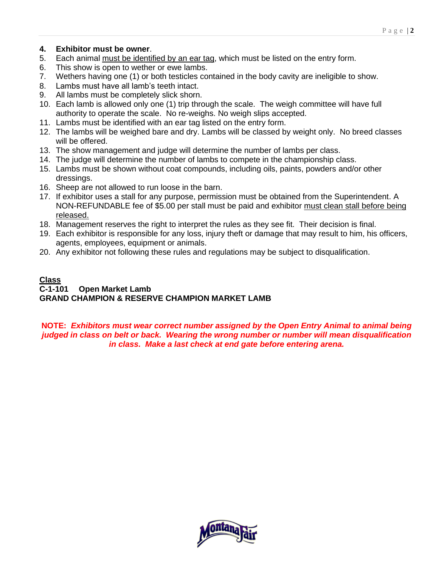## **4. Exhibitor must be owner**.

- 5. Each animal must be identified by an ear tag, which must be listed on the entry form.
- 6. This show is open to wether or ewe lambs.
- 7. Wethers having one (1) or both testicles contained in the body cavity are ineligible to show.
- 8. Lambs must have all lamb's teeth intact.
- 9. All lambs must be completely slick shorn.
- 10. Each lamb is allowed only one (1) trip through the scale. The weigh committee will have full authority to operate the scale. No re-weighs. No weigh slips accepted.
- 11. Lambs must be identified with an ear tag listed on the entry form.
- 12. The lambs will be weighed bare and dry. Lambs will be classed by weight only. No breed classes will be offered.
- 13. The show management and judge will determine the number of lambs per class.
- 14. The judge will determine the number of lambs to compete in the championship class.
- 15. Lambs must be shown without coat compounds, including oils, paints, powders and/or other dressings.
- 16. Sheep are not allowed to run loose in the barn.
- 17. If exhibitor uses a stall for any purpose, permission must be obtained from the Superintendent. A NON-REFUNDABLE fee of \$5.00 per stall must be paid and exhibitor must clean stall before being released.
- 18. Management reserves the right to interpret the rules as they see fit. Their decision is final.
- 19. Each exhibitor is responsible for any loss, injury theft or damage that may result to him, his officers, agents, employees, equipment or animals.
- 20. Any exhibitor not following these rules and regulations may be subject to disqualification.

## **Class C-1-101 Open Market Lamb GRAND CHAMPION & RESERVE CHAMPION MARKET LAMB**

**NOTE:** *Exhibitors must wear correct number assigned by the Open Entry Animal to animal being judged in class on belt or back. Wearing the wrong number or number will mean disqualification in class. Make a last check at end gate before entering arena.* 

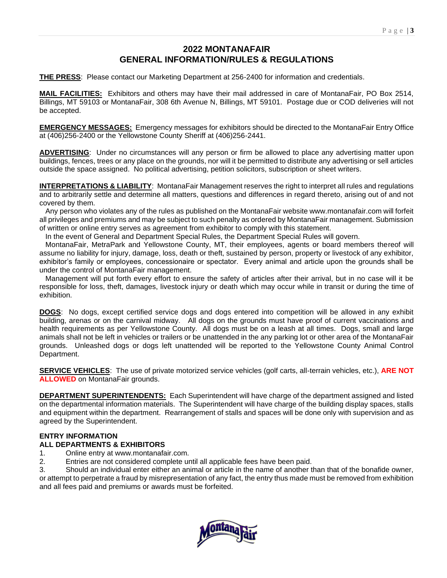# **2022 MONTANAFAIR GENERAL INFORMATION/RULES & REGULATIONS**

**THE PRESS**: Please contact our Marketing Department at 256-2400 for information and credentials.

**MAIL FACILITIES:** Exhibitors and others may have their mail addressed in care of MontanaFair, PO Box 2514, Billings, MT 59103 or MontanaFair, 308 6th Avenue N, Billings, MT 59101. Postage due or COD deliveries will not be accepted.

**EMERGENCY MESSAGES:** Emergency messages for exhibitors should be directed to the MontanaFair Entry Office at (406)256-2400 or the Yellowstone County Sheriff at (406)256-2441.

**ADVERTISING**: Under no circumstances will any person or firm be allowed to place any advertising matter upon buildings, fences, trees or any place on the grounds, nor will it be permitted to distribute any advertising or sell articles outside the space assigned. No political advertising, petition solicitors, subscription or sheet writers.

**INTERPRETATIONS & LIABILITY**: MontanaFair Management reserves the right to interpret all rules and regulations and to arbitrarily settle and determine all matters, questions and differences in regard thereto, arising out of and not covered by them.

 Any person who violates any of the rules as published on the MontanaFair website www.montanafair.com will forfeit all privileges and premiums and may be subject to such penalty as ordered by MontanaFair management. Submission of written or online entry serves as agreement from exhibitor to comply with this statement.

In the event of General and Department Special Rules, the Department Special Rules will govern.

 MontanaFair, MetraPark and Yellowstone County, MT, their employees, agents or board members thereof will assume no liability for injury, damage, loss, death or theft, sustained by person, property or livestock of any exhibitor, exhibitor's family or employees, concessionaire or spectator. Every animal and article upon the grounds shall be under the control of MontanaFair management.

 Management will put forth every effort to ensure the safety of articles after their arrival, but in no case will it be responsible for loss, theft, damages, livestock injury or death which may occur while in transit or during the time of exhibition.

**DOGS**: No dogs, except certified service dogs and dogs entered into competition will be allowed in any exhibit building, arenas or on the carnival midway. All dogs on the grounds must have proof of current vaccinations and health requirements as per Yellowstone County. All dogs must be on a leash at all times. Dogs, small and large animals shall not be left in vehicles or trailers or be unattended in the any parking lot or other area of the MontanaFair grounds. Unleashed dogs or dogs left unattended will be reported to the Yellowstone County Animal Control Department.

**SERVICE VEHICLES**: The use of private motorized service vehicles (golf carts, all-terrain vehicles, etc.), **ARE NOT ALLOWED** on MontanaFair grounds.

**DEPARTMENT SUPERINTENDENTS:** Each Superintendent will have charge of the department assigned and listed on the departmental information materials. The Superintendent will have charge of the building display spaces, stalls and equipment within the department. Rearrangement of stalls and spaces will be done only with supervision and as agreed by the Superintendent.

# **ENTRY INFORMATION**

# **ALL DEPARTMENTS & EXHIBITORS**

- 1. Online entry at www.montanafair.com.
- 2. Entries are not considered complete until all applicable fees have been paid.

3. Should an individual enter either an animal or article in the name of another than that of the bonafide owner, or attempt to perpetrate a fraud by misrepresentation of any fact, the entry thus made must be removed from exhibition and all fees paid and premiums or awards must be forfeited.

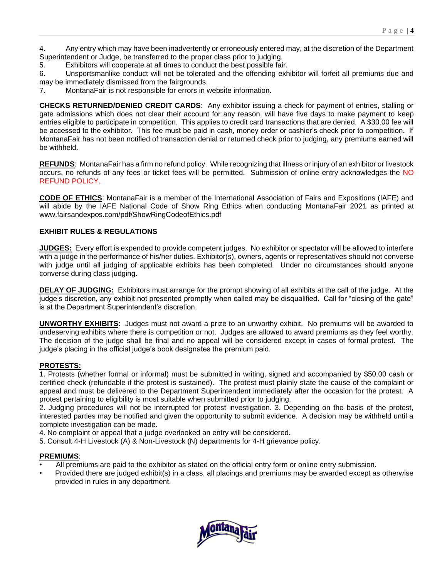4. Any entry which may have been inadvertently or erroneously entered may, at the discretion of the Department Superintendent or Judge, be transferred to the proper class prior to judging.

5. Exhibitors will cooperate at all times to conduct the best possible fair.

6. Unsportsmanlike conduct will not be tolerated and the offending exhibitor will forfeit all premiums due and may be immediately dismissed from the fairgrounds.

7. MontanaFair is not responsible for errors in website information.

**CHECKS RETURNED/DENIED CREDIT CARDS**: Any exhibitor issuing a check for payment of entries, stalling or gate admissions which does not clear their account for any reason, will have five days to make payment to keep entries eligible to participate in competition. This applies to credit card transactions that are denied. A \$30.00 fee will be accessed to the exhibitor. This fee must be paid in cash, money order or cashier's check prior to competition. If MontanaFair has not been notified of transaction denial or returned check prior to judging, any premiums earned will be withheld.

**REFUNDS**: MontanaFair has a firm no refund policy. While recognizing that illness or injury of an exhibitor or livestock occurs, no refunds of any fees or ticket fees will be permitted. Submission of online entry acknowledges the NO REFUND POLICY.

**CODE OF ETHICS**: MontanaFair is a member of the International Association of Fairs and Expositions (IAFE) and will abide by the IAFE National Code of Show Ring Ethics when conducting MontanaFair 2021 as printed at www.fairsandexpos.com/pdf/ShowRingCodeofEthics.pdf

#### **EXHIBIT RULES & REGULATIONS**

**JUDGES:** Every effort is expended to provide competent judges. No exhibitor or spectator will be allowed to interfere with a judge in the performance of his/her duties. Exhibitor(s), owners, agents or representatives should not converse with judge until all judging of applicable exhibits has been completed. Under no circumstances should anyone converse during class judging.

**DELAY OF JUDGING:** Exhibitors must arrange for the prompt showing of all exhibits at the call of the judge. At the judge's discretion, any exhibit not presented promptly when called may be disqualified. Call for "closing of the gate" is at the Department Superintendent's discretion.

**UNWORTHY EXHIBITS**: Judges must not award a prize to an unworthy exhibit. No premiums will be awarded to undeserving exhibits where there is competition or not. Judges are allowed to award premiums as they feel worthy. The decision of the judge shall be final and no appeal will be considered except in cases of formal protest. The judge's placing in the official judge's book designates the premium paid.

#### **PROTESTS:**

1. Protests (whether formal or informal) must be submitted in writing, signed and accompanied by \$50.00 cash or certified check (refundable if the protest is sustained). The protest must plainly state the cause of the complaint or appeal and must be delivered to the Department Superintendent immediately after the occasion for the protest. A protest pertaining to eligibility is most suitable when submitted prior to judging.

2. Judging procedures will not be interrupted for protest investigation. 3. Depending on the basis of the protest, interested parties may be notified and given the opportunity to submit evidence. A decision may be withheld until a complete investigation can be made.

4. No complaint or appeal that a judge overlooked an entry will be considered.

5. Consult 4-H Livestock (A) & Non-Livestock (N) departments for 4-H grievance policy.

#### **PREMIUMS**:

- All premiums are paid to the exhibitor as stated on the official entry form or online entry submission.
- Provided there are judged exhibit(s) in a class, all placings and premiums may be awarded except as otherwise provided in rules in any department.